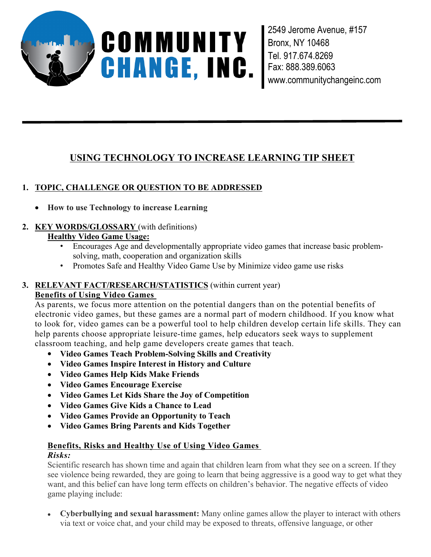

2549 Jerome Avenue, #157 Bronx, NY 10468 Tel. 917.674.8269 Fax: 888.389.6063 www.communitychangeinc.com

# **USING TECHNOLOGY TO INCREASE LEARNING TIP SHEET**

# **1. TOPIC, CHALLENGE OR QUESTION TO BE ADDRESSED**

- **How to use Technology to increase Learning**
- **2. KEY WORDS/GLOSSARY** (with definitions)

# **Healthy Video Game Usage:**

- Encourages Age and developmentally appropriate video games that increase basic problemsolving, math, cooperation and organization skills
- Promotes Safe and Healthy Video Game Use by Minimize video game use risks

#### **3. RELEVANT FACT/RESEARCH/STATISTICS** (within current year) **Benefits of Using Video Games**

As parents, we focus more attention on the potential dangers than on the potential benefits of electronic video games, but these games are a normal part of modern childhood. If you know what to look for, video games can be a powerful tool to help children develop certain life skills. They can help parents choose appropriate leisure-time games, help educators seek ways to supplement classroom teaching, and help game developers create games that teach.

- **Video Games Teach Problem-Solving Skills and Creativity**
- **Video Games Inspire Interest in History and Culture**
- **Video Games Help Kids Make Friends**
- **Video Games Encourage Exercise**
- **Video Games Let Kids Share the Joy of Competition**
- **Video Games Give Kids a Chance to Lead**
- **Video Games Provide an Opportunity to Teach**
- **Video Games Bring Parents and Kids Together**

# **Benefits, Risks and Healthy Use of Using Video Games**

### *Risks:*

Scientific research has shown time and again that children learn from what they see on a screen. If they see violence being rewarded, they are going to learn that being aggressive is a good way to get what they want, and this belief can have long term effects on children's behavior. The negative effects of video game playing include:

 **Cyberbullying and sexual harassment:** Many online games allow the player to interact with others via text or voice chat, and your child may be exposed to threats, offensive language, or other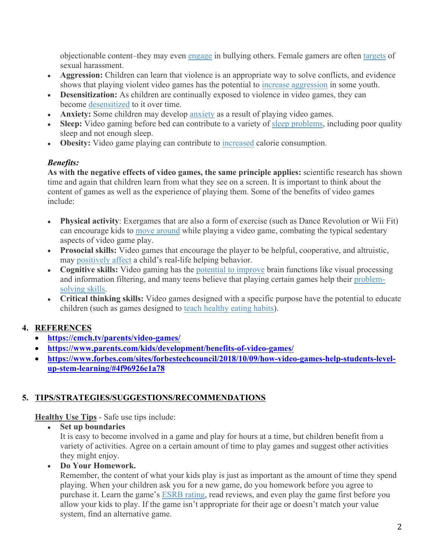objectionable content–they may even engage in bullying others. Female gamers are often targets of sexual harassment.

- **Aggression:** Children can learn that violence is an appropriate way to solve conflicts, and evidence shows that playing violent video games has the potential to increase aggression in some youth.
- **Desensitization:** As children are continually exposed to violence in video games, they can become desensitized to it over time.
- **Anxiety:** Some children may develop anxiety as a result of playing video games.
- Sleep: Video gaming before bed can contribute to a variety of sleep problems, including poor quality sleep and not enough sleep.
- **Obesity:** Video game playing can contribute to increased calorie consumption.

#### *Benefits:*

**As with the negative effects of video games, the same principle applies:** scientific research has shown time and again that children learn from what they see on a screen. It is important to think about the content of games as well as the experience of playing them. Some of the benefits of video games include:

- **Physical activity**: Exergames that are also a form of exercise (such as Dance Revolution or Wii Fit) can encourage kids to move around while playing a video game, combating the typical sedentary aspects of video game play.
- **Prosocial skills:** Video games that encourage the player to be helpful, cooperative, and altruistic, may positively affect a child's real-life helping behavior.
- **Cognitive skills:** Video gaming has the potential to improve brain functions like visual processing and information filtering, and many teens believe that playing certain games help their problemsolving skills.
- **Critical thinking skills:** Video games designed with a specific purpose have the potential to educate children (such as games designed to teach healthy eating habits).

# **4. REFERENCES**

- **https://cmch.tv/parents/video-games/**
- **https://www.parents.com/kids/development/benefits-of-video-games/**
- https://www.forbes.com/sites/forbestechcouncil/2018/10/09/how-video-games-help-students-level**up-stem-learning/#4f96926e1a78**

# **5. TIPS/STRATEGIES/SUGGESTIONS/RECOMMENDATIONS**

**Healthy Use Tips** - Safe use tips include:

**Set up boundaries**

It is easy to become involved in a game and play for hours at a time, but children benefit from a variety of activities. Agree on a certain amount of time to play games and suggest other activities they might enjoy.

### **Do Your Homework.**

Remember, the content of what your kids play is just as important as the amount of time they spend playing. When your children ask you for a new game, do you homework before you agree to purchase it. Learn the game's ESRB rating, read reviews, and even play the game first before you allow your kids to play. If the game isn't appropriate for their age or doesn't match your value system, find an alternative game.